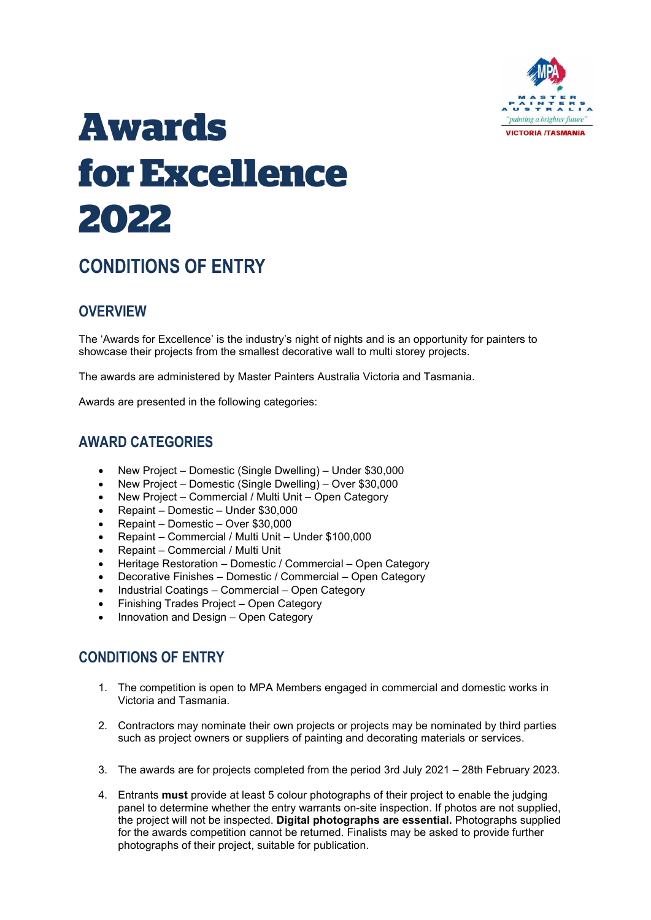

# **Awards for Excellence 2022**

## **CONDITIONS OF ENTRY**

## **OVERVIEW**

The 'Awards for Excellence' is the industry's night of nights and is an opportunity for painters to showcase their projects from the smallest decorative wall to multi storey projects.

The awards are administered by Master Painters Australia Victoria and Tasmania.

Awards are presented in the following categories:

## **AWARD CATEGORIES**

- New Project Domestic (Single Dwelling) Under \$30,000
- New Project Domestic (Single Dwelling) Over \$30,000
- New Project Commercial / Multi Unit Open Category
- Repaint Domestic Under \$30,000
- Repaint Domestic Over \$30,000
- Repaint Commercial / Multi Unit Under \$100,000
- Repaint Commercial / Multi Unit
- Heritage Restoration Domestic / Commercial Open Category
- Decorative Finishes Domestic / Commercial Open Category
- Industrial Coatings Commercial Open Category
- Finishing Trades Project Open Category
- Innovation and Design Open Category

## **CONDITIONS OF ENTRY**

- 1. The competition is open to MPA Members engaged in commercial and domestic works in Victoria and Tasmania.
- 2. Contractors may nominate their own projects or projects may be nominated by third parties such as project owners or suppliers of painting and decorating materials or services.
- 3. The awards are for projects completed from the period 3rd July 2021 28th February 2023.
- 4. Entrants **must** provide at least 5 colour photographs of their project to enable the judging panel to determine whether the entry warrants on-site inspection. If photos are not supplied, the project will not be inspected. **Digital photographs are essential.** Photographs supplied for the awards competition cannot be returned. Finalists may be asked to provide further photographs of their project, suitable for publication.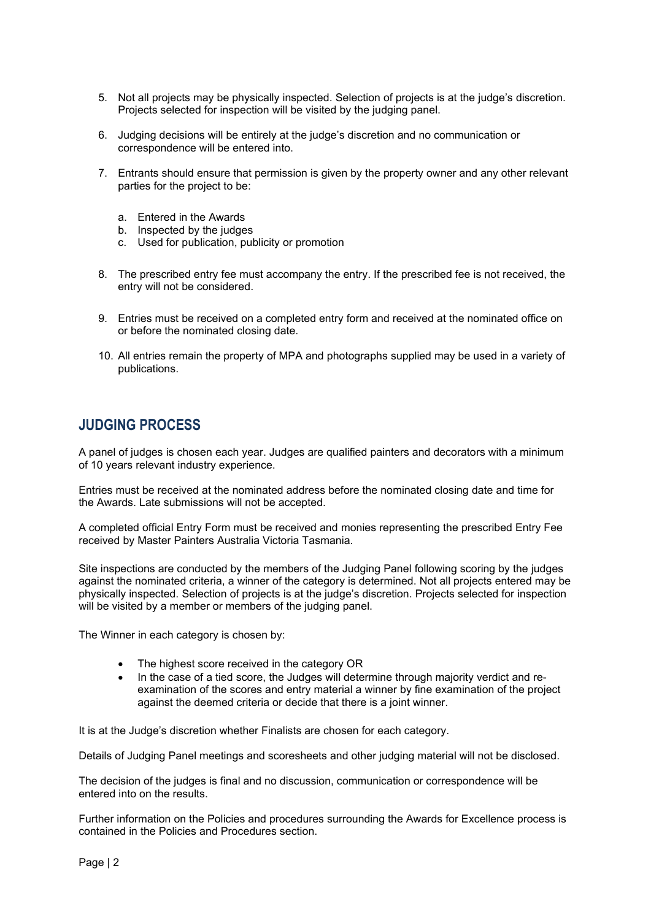- 5. Not all projects may be physically inspected. Selection of projects is at the judge's discretion. Projects selected for inspection will be visited by the judging panel.
- 6. Judging decisions will be entirely at the judge's discretion and no communication or correspondence will be entered into.
- 7. Entrants should ensure that permission is given by the property owner and any other relevant parties for the project to be:
	- a. Entered in the Awards
	- b. Inspected by the judges
	- c. Used for publication, publicity or promotion
- 8. The prescribed entry fee must accompany the entry. If the prescribed fee is not received, the entry will not be considered.
- 9. Entries must be received on a completed entry form and received at the nominated office on or before the nominated closing date.
- 10. All entries remain the property of MPA and photographs supplied may be used in a variety of publications.

### **JUDGING PROCESS**

A panel of judges is chosen each year. Judges are qualified painters and decorators with a minimum of 10 years relevant industry experience.

Entries must be received at the nominated address before the nominated closing date and time for the Awards. Late submissions will not be accepted.

A completed official Entry Form must be received and monies representing the prescribed Entry Fee received by Master Painters Australia Victoria Tasmania.

Site inspections are conducted by the members of the Judging Panel following scoring by the judges against the nominated criteria, a winner of the category is determined. Not all projects entered may be physically inspected. Selection of projects is at the judge's discretion. Projects selected for inspection will be visited by a member or members of the judging panel.

The Winner in each category is chosen by:

- The highest score received in the category OR
- In the case of a tied score, the Judges will determine through majority verdict and reexamination of the scores and entry material a winner by fine examination of the project against the deemed criteria or decide that there is a joint winner.

It is at the Judge's discretion whether Finalists are chosen for each category.

Details of Judging Panel meetings and scoresheets and other judging material will not be disclosed.

The decision of the judges is final and no discussion, communication or correspondence will be entered into on the results.

Further information on the Policies and procedures surrounding the Awards for Excellence process is contained in the Policies and Procedures section.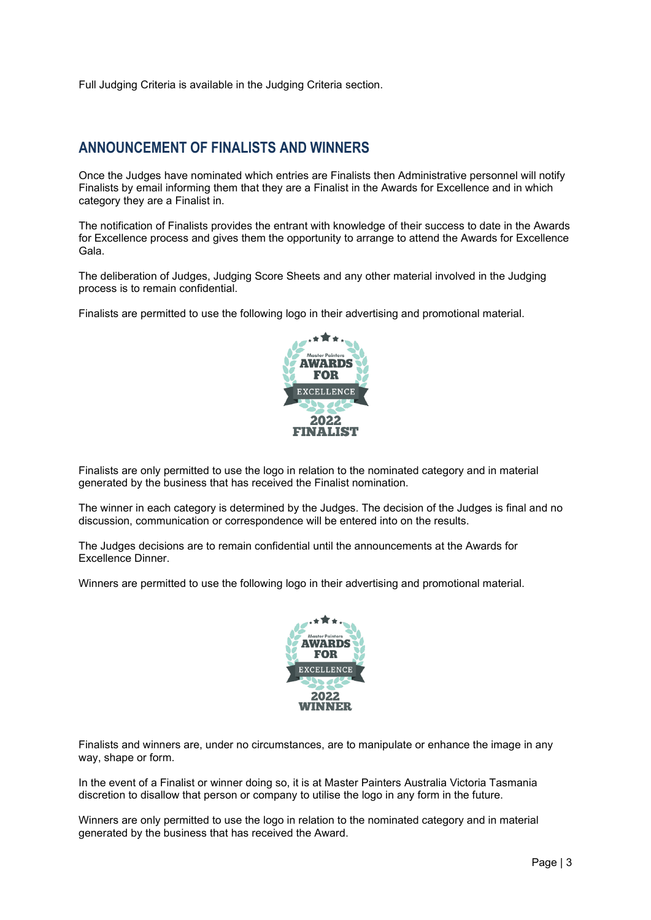Full Judging Criteria is available in the Judging Criteria section.

## **ANNOUNCEMENT OF FINALISTS AND WINNERS**

Once the Judges have nominated which entries are Finalists then Administrative personnel will notify Finalists by email informing them that they are a Finalist in the Awards for Excellence and in which category they are a Finalist in.

The notification of Finalists provides the entrant with knowledge of their success to date in the Awards for Excellence process and gives them the opportunity to arrange to attend the Awards for Excellence Gala.

The deliberation of Judges, Judging Score Sheets and any other material involved in the Judging process is to remain confidential.

Finalists are permitted to use the following logo in their advertising and promotional material.



Finalists are only permitted to use the logo in relation to the nominated category and in material generated by the business that has received the Finalist nomination.

The winner in each category is determined by the Judges. The decision of the Judges is final and no discussion, communication or correspondence will be entered into on the results.

The Judges decisions are to remain confidential until the announcements at the Awards for Excellence Dinner.

Winners are permitted to use the following logo in their advertising and promotional material.



Finalists and winners are, under no circumstances, are to manipulate or enhance the image in any way, shape or form.

In the event of a Finalist or winner doing so, it is at Master Painters Australia Victoria Tasmania discretion to disallow that person or company to utilise the logo in any form in the future.

Winners are only permitted to use the logo in relation to the nominated category and in material generated by the business that has received the Award.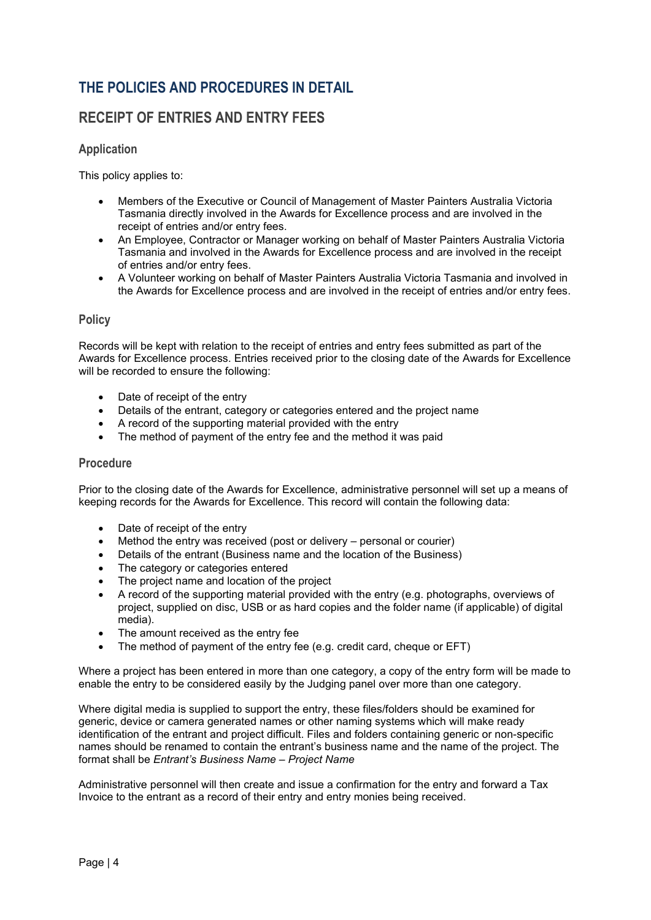## **THE POLICIES AND PROCEDURES IN DETAIL**

## **RECEIPT OF ENTRIES AND ENTRY FEES**

#### **Application**

This policy applies to:

- Members of the Executive or Council of Management of Master Painters Australia Victoria Tasmania directly involved in the Awards for Excellence process and are involved in the receipt of entries and/or entry fees.
- An Employee, Contractor or Manager working on behalf of Master Painters Australia Victoria Tasmania and involved in the Awards for Excellence process and are involved in the receipt of entries and/or entry fees.
- A Volunteer working on behalf of Master Painters Australia Victoria Tasmania and involved in the Awards for Excellence process and are involved in the receipt of entries and/or entry fees.

#### **Policy**

Records will be kept with relation to the receipt of entries and entry fees submitted as part of the Awards for Excellence process. Entries received prior to the closing date of the Awards for Excellence will be recorded to ensure the following:

- Date of receipt of the entry
- Details of the entrant, category or categories entered and the project name
- A record of the supporting material provided with the entry
- The method of payment of the entry fee and the method it was paid

#### **Procedure**

Prior to the closing date of the Awards for Excellence, administrative personnel will set up a means of keeping records for the Awards for Excellence. This record will contain the following data:

- Date of receipt of the entry
- Method the entry was received (post or delivery personal or courier)
- Details of the entrant (Business name and the location of the Business)
- The category or categories entered
- The project name and location of the project
- A record of the supporting material provided with the entry (e.g. photographs, overviews of project, supplied on disc, USB or as hard copies and the folder name (if applicable) of digital media).
- The amount received as the entry fee
- The method of payment of the entry fee (e.g. credit card, cheque or EFT)

Where a project has been entered in more than one category, a copy of the entry form will be made to enable the entry to be considered easily by the Judging panel over more than one category.

Where digital media is supplied to support the entry, these files/folders should be examined for generic, device or camera generated names or other naming systems which will make ready identification of the entrant and project difficult. Files and folders containing generic or non-specific names should be renamed to contain the entrant's business name and the name of the project. The format shall be *Entrant's Business Name – Project Name*

Administrative personnel will then create and issue a confirmation for the entry and forward a Tax Invoice to the entrant as a record of their entry and entry monies being received.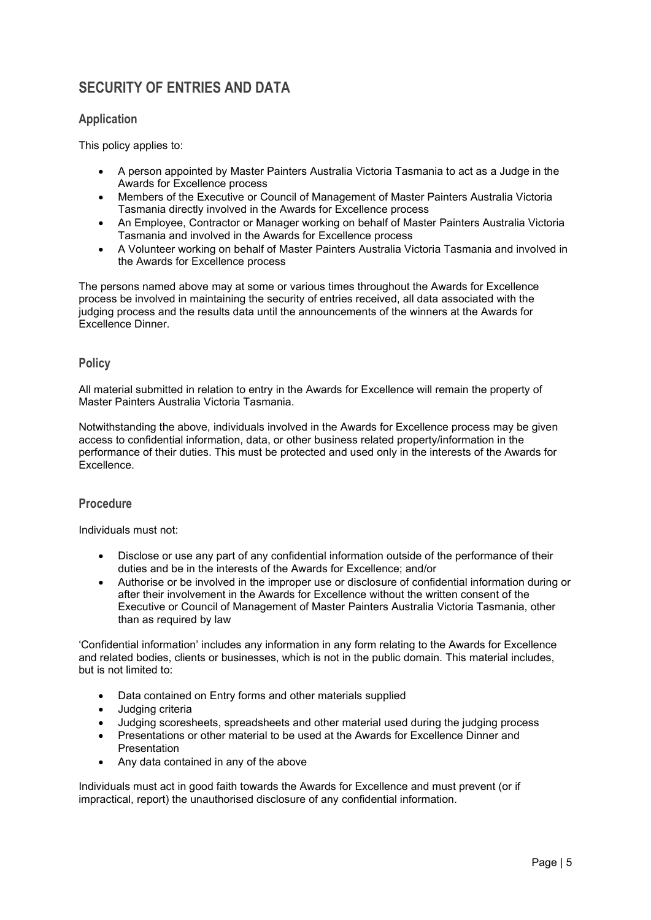## **SECURITY OF ENTRIES AND DATA**

#### **Application**

This policy applies to:

- A person appointed by Master Painters Australia Victoria Tasmania to act as a Judge in the Awards for Excellence process
- Members of the Executive or Council of Management of Master Painters Australia Victoria Tasmania directly involved in the Awards for Excellence process
- An Employee, Contractor or Manager working on behalf of Master Painters Australia Victoria Tasmania and involved in the Awards for Excellence process
- A Volunteer working on behalf of Master Painters Australia Victoria Tasmania and involved in the Awards for Excellence process

The persons named above may at some or various times throughout the Awards for Excellence process be involved in maintaining the security of entries received, all data associated with the judging process and the results data until the announcements of the winners at the Awards for Excellence Dinner.

#### **Policy**

All material submitted in relation to entry in the Awards for Excellence will remain the property of Master Painters Australia Victoria Tasmania.

Notwithstanding the above, individuals involved in the Awards for Excellence process may be given access to confidential information, data, or other business related property/information in the performance of their duties. This must be protected and used only in the interests of the Awards for Excellence.

#### **Procedure**

Individuals must not:

- Disclose or use any part of any confidential information outside of the performance of their duties and be in the interests of the Awards for Excellence; and/or
- Authorise or be involved in the improper use or disclosure of confidential information during or after their involvement in the Awards for Excellence without the written consent of the Executive or Council of Management of Master Painters Australia Victoria Tasmania, other than as required by law

'Confidential information' includes any information in any form relating to the Awards for Excellence and related bodies, clients or businesses, which is not in the public domain. This material includes, but is not limited to:

- Data contained on Entry forms and other materials supplied
- Judging criteria
- Judging scoresheets, spreadsheets and other material used during the judging process
- Presentations or other material to be used at the Awards for Excellence Dinner and Presentation
- Any data contained in any of the above

Individuals must act in good faith towards the Awards for Excellence and must prevent (or if impractical, report) the unauthorised disclosure of any confidential information.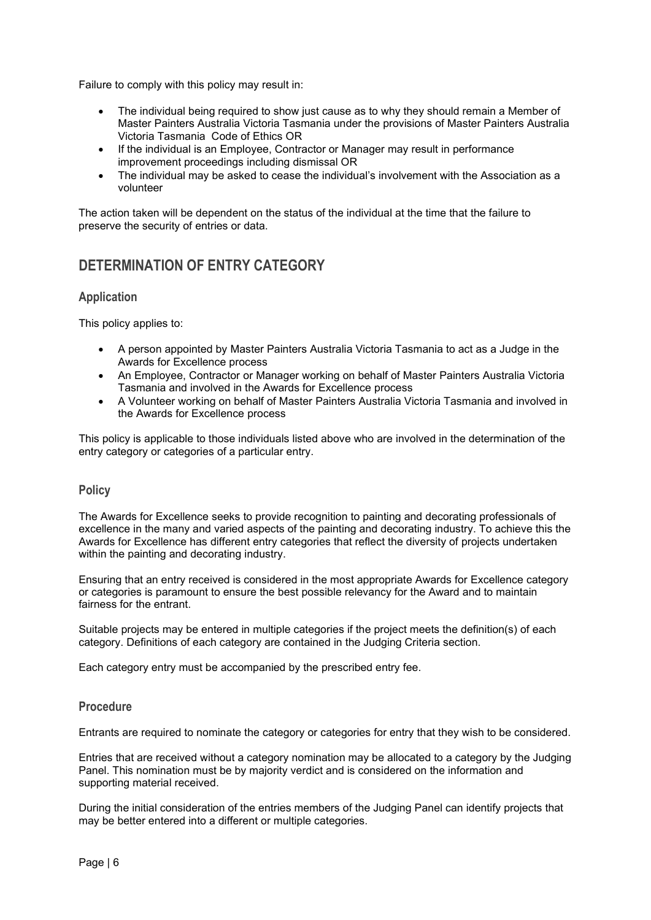Failure to comply with this policy may result in:

- The individual being required to show just cause as to why they should remain a Member of Master Painters Australia Victoria Tasmania under the provisions of Master Painters Australia Victoria Tasmania Code of Ethics OR
- If the individual is an Employee, Contractor or Manager may result in performance improvement proceedings including dismissal OR
- The individual may be asked to cease the individual's involvement with the Association as a volunteer

The action taken will be dependent on the status of the individual at the time that the failure to preserve the security of entries or data.

## **DETERMINATION OF ENTRY CATEGORY**

#### **Application**

This policy applies to:

- A person appointed by Master Painters Australia Victoria Tasmania to act as a Judge in the Awards for Excellence process
- An Employee, Contractor or Manager working on behalf of Master Painters Australia Victoria Tasmania and involved in the Awards for Excellence process
- A Volunteer working on behalf of Master Painters Australia Victoria Tasmania and involved in the Awards for Excellence process

This policy is applicable to those individuals listed above who are involved in the determination of the entry category or categories of a particular entry.

#### **Policy**

The Awards for Excellence seeks to provide recognition to painting and decorating professionals of excellence in the many and varied aspects of the painting and decorating industry. To achieve this the Awards for Excellence has different entry categories that reflect the diversity of projects undertaken within the painting and decorating industry.

Ensuring that an entry received is considered in the most appropriate Awards for Excellence category or categories is paramount to ensure the best possible relevancy for the Award and to maintain fairness for the entrant.

Suitable projects may be entered in multiple categories if the project meets the definition(s) of each category. Definitions of each category are contained in the Judging Criteria section.

Each category entry must be accompanied by the prescribed entry fee.

#### **Procedure**

Entrants are required to nominate the category or categories for entry that they wish to be considered.

Entries that are received without a category nomination may be allocated to a category by the Judging Panel. This nomination must be by majority verdict and is considered on the information and supporting material received.

During the initial consideration of the entries members of the Judging Panel can identify projects that may be better entered into a different or multiple categories.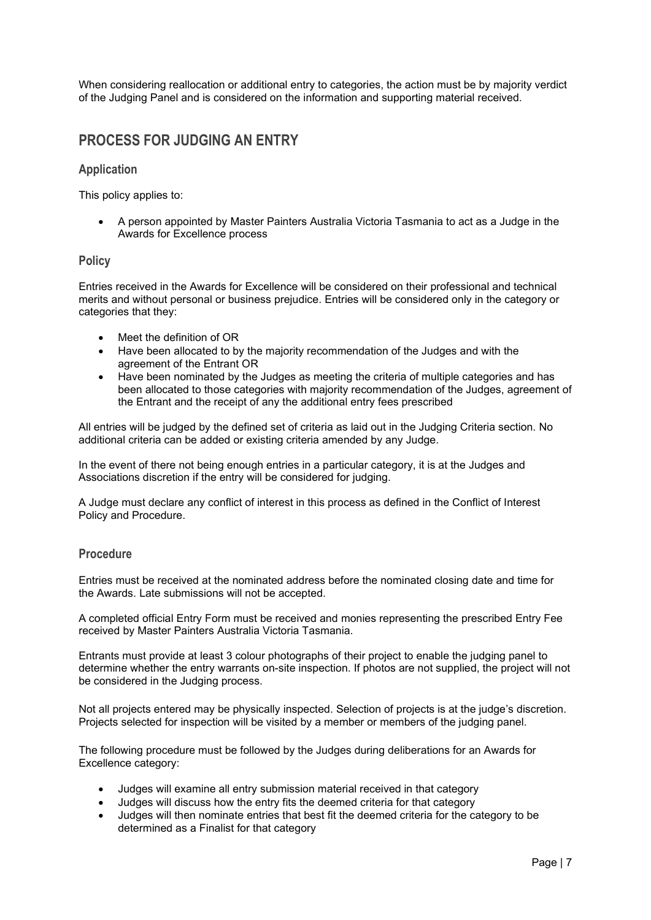When considering reallocation or additional entry to categories, the action must be by majority verdict of the Judging Panel and is considered on the information and supporting material received.

## **PROCESS FOR JUDGING AN ENTRY**

#### **Application**

This policy applies to:

• A person appointed by Master Painters Australia Victoria Tasmania to act as a Judge in the Awards for Excellence process

#### **Policy**

Entries received in the Awards for Excellence will be considered on their professional and technical merits and without personal or business prejudice. Entries will be considered only in the category or categories that they:

- Meet the definition of OR
- Have been allocated to by the majority recommendation of the Judges and with the agreement of the Entrant OR
- Have been nominated by the Judges as meeting the criteria of multiple categories and has been allocated to those categories with majority recommendation of the Judges, agreement of the Entrant and the receipt of any the additional entry fees prescribed

All entries will be judged by the defined set of criteria as laid out in the Judging Criteria section. No additional criteria can be added or existing criteria amended by any Judge.

In the event of there not being enough entries in a particular category, it is at the Judges and Associations discretion if the entry will be considered for judging.

A Judge must declare any conflict of interest in this process as defined in the Conflict of Interest Policy and Procedure.

#### **Procedure**

Entries must be received at the nominated address before the nominated closing date and time for the Awards. Late submissions will not be accepted.

A completed official Entry Form must be received and monies representing the prescribed Entry Fee received by Master Painters Australia Victoria Tasmania.

Entrants must provide at least 3 colour photographs of their project to enable the judging panel to determine whether the entry warrants on-site inspection. If photos are not supplied, the project will not be considered in the Judging process.

Not all projects entered may be physically inspected. Selection of projects is at the judge's discretion. Projects selected for inspection will be visited by a member or members of the judging panel.

The following procedure must be followed by the Judges during deliberations for an Awards for Excellence category:

- Judges will examine all entry submission material received in that category
- Judges will discuss how the entry fits the deemed criteria for that category
- Judges will then nominate entries that best fit the deemed criteria for the category to be determined as a Finalist for that category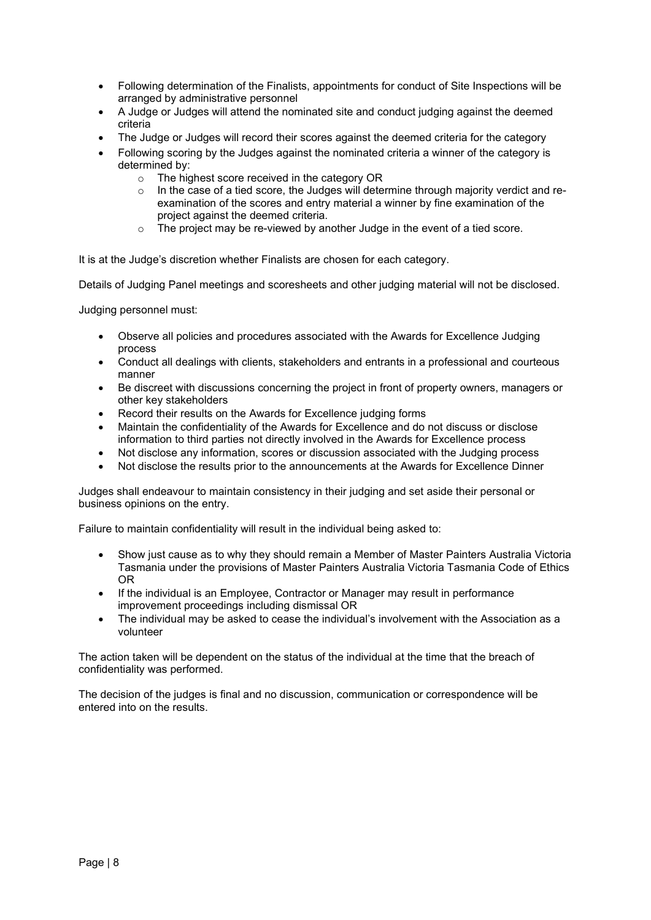- Following determination of the Finalists, appointments for conduct of Site Inspections will be arranged by administrative personnel
- A Judge or Judges will attend the nominated site and conduct judging against the deemed criteria
- The Judge or Judges will record their scores against the deemed criteria for the category
- Following scoring by the Judges against the nominated criteria a winner of the category is determined by:
	- o The highest score received in the category OR
	- In the case of a tied score, the Judges will determine through majority verdict and reexamination of the scores and entry material a winner by fine examination of the project against the deemed criteria.
	- o The project may be re-viewed by another Judge in the event of a tied score.

It is at the Judge's discretion whether Finalists are chosen for each category.

Details of Judging Panel meetings and scoresheets and other judging material will not be disclosed.

Judging personnel must:

- Observe all policies and procedures associated with the Awards for Excellence Judging process
- Conduct all dealings with clients, stakeholders and entrants in a professional and courteous manner
- Be discreet with discussions concerning the project in front of property owners, managers or other key stakeholders
- Record their results on the Awards for Excellence judging forms
- Maintain the confidentiality of the Awards for Excellence and do not discuss or disclose information to third parties not directly involved in the Awards for Excellence process
- Not disclose any information, scores or discussion associated with the Judging process
- Not disclose the results prior to the announcements at the Awards for Excellence Dinner

Judges shall endeavour to maintain consistency in their judging and set aside their personal or business opinions on the entry.

Failure to maintain confidentiality will result in the individual being asked to:

- Show just cause as to why they should remain a Member of Master Painters Australia Victoria Tasmania under the provisions of Master Painters Australia Victoria Tasmania Code of Ethics OR
- If the individual is an Employee, Contractor or Manager may result in performance improvement proceedings including dismissal OR
- The individual may be asked to cease the individual's involvement with the Association as a volunteer

The action taken will be dependent on the status of the individual at the time that the breach of confidentiality was performed.

The decision of the judges is final and no discussion, communication or correspondence will be entered into on the results.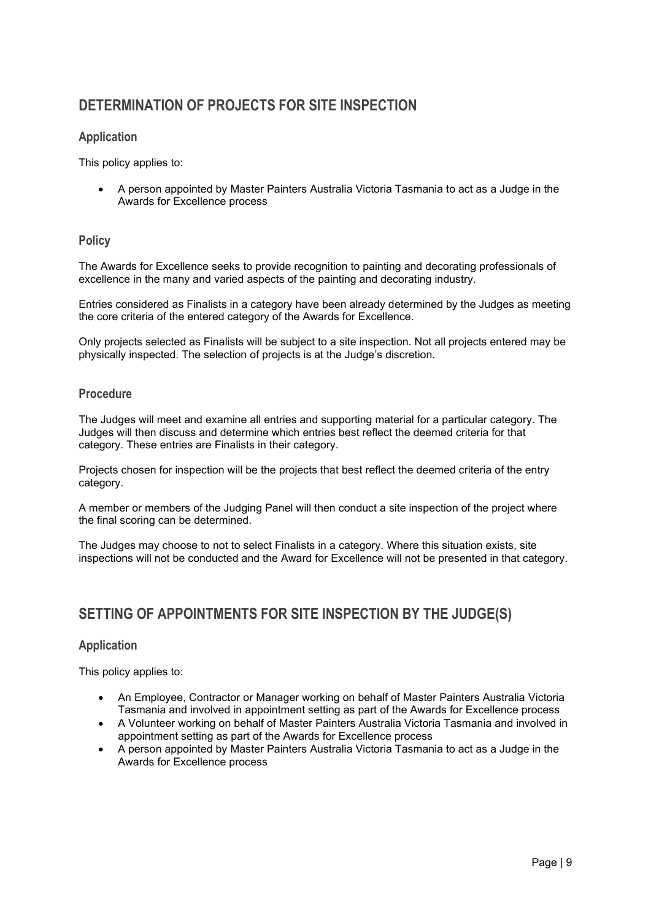## **DETERMINATION OF PROJECTS FOR SITE INSPECTION**

#### **Application**

This policy applies to:

• A person appointed by Master Painters Australia Victoria Tasmania to act as a Judge in the Awards for Excellence process

#### **Policy**

The Awards for Excellence seeks to provide recognition to painting and decorating professionals of excellence in the many and varied aspects of the painting and decorating industry.

Entries considered as Finalists in a category have been already determined by the Judges as meeting the core criteria of the entered category of the Awards for Excellence.

Only projects selected as Finalists will be subject to a site inspection. Not all projects entered may be physically inspected. The selection of projects is at the Judge's discretion.

#### **Procedure**

The Judges will meet and examine all entries and supporting material for a particular category. The Judges will then discuss and determine which entries best reflect the deemed criteria for that category. These entries are Finalists in their category.

Projects chosen for inspection will be the projects that best reflect the deemed criteria of the entry category.

A member or members of the Judging Panel will then conduct a site inspection of the project where the final scoring can be determined.

The Judges may choose to not to select Finalists in a category. Where this situation exists, site inspections will not be conducted and the Award for Excellence will not be presented in that category.

## **SETTING OF APPOINTMENTS FOR SITE INSPECTION BY THE JUDGE(S)**

#### **Application**

This policy applies to:

- An Employee, Contractor or Manager working on behalf of Master Painters Australia Victoria Tasmania and involved in appointment setting as part of the Awards for Excellence process
- A Volunteer working on behalf of Master Painters Australia Victoria Tasmania and involved in appointment setting as part of the Awards for Excellence process
- A person appointed by Master Painters Australia Victoria Tasmania to act as a Judge in the Awards for Excellence process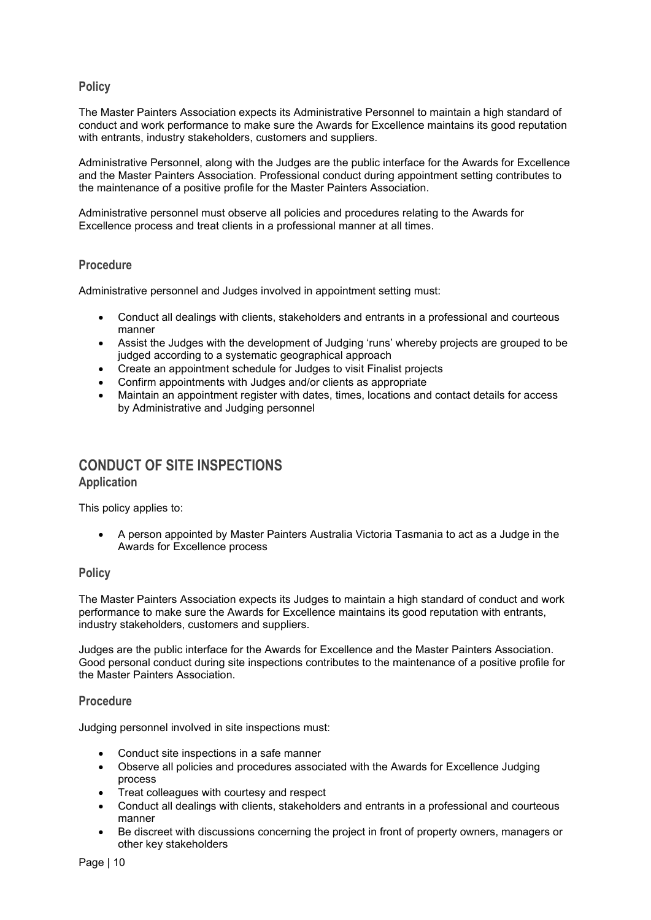#### **Policy**

The Master Painters Association expects its Administrative Personnel to maintain a high standard of conduct and work performance to make sure the Awards for Excellence maintains its good reputation with entrants, industry stakeholders, customers and suppliers.

Administrative Personnel, along with the Judges are the public interface for the Awards for Excellence and the Master Painters Association. Professional conduct during appointment setting contributes to the maintenance of a positive profile for the Master Painters Association.

Administrative personnel must observe all policies and procedures relating to the Awards for Excellence process and treat clients in a professional manner at all times.

#### **Procedure**

Administrative personnel and Judges involved in appointment setting must:

- Conduct all dealings with clients, stakeholders and entrants in a professional and courteous manner
- Assist the Judges with the development of Judging 'runs' whereby projects are grouped to be judged according to a systematic geographical approach
- Create an appointment schedule for Judges to visit Finalist projects
- Confirm appointments with Judges and/or clients as appropriate
- Maintain an appointment register with dates, times, locations and contact details for access by Administrative and Judging personnel

## **CONDUCT OF SITE INSPECTIONS Application**

This policy applies to:

• A person appointed by Master Painters Australia Victoria Tasmania to act as a Judge in the Awards for Excellence process

#### **Policy**

The Master Painters Association expects its Judges to maintain a high standard of conduct and work performance to make sure the Awards for Excellence maintains its good reputation with entrants, industry stakeholders, customers and suppliers.

Judges are the public interface for the Awards for Excellence and the Master Painters Association. Good personal conduct during site inspections contributes to the maintenance of a positive profile for the Master Painters Association.

#### **Procedure**

Judging personnel involved in site inspections must:

- Conduct site inspections in a safe manner
- Observe all policies and procedures associated with the Awards for Excellence Judging process
- Treat colleagues with courtesy and respect
- Conduct all dealings with clients, stakeholders and entrants in a professional and courteous manner
- Be discreet with discussions concerning the project in front of property owners, managers or other key stakeholders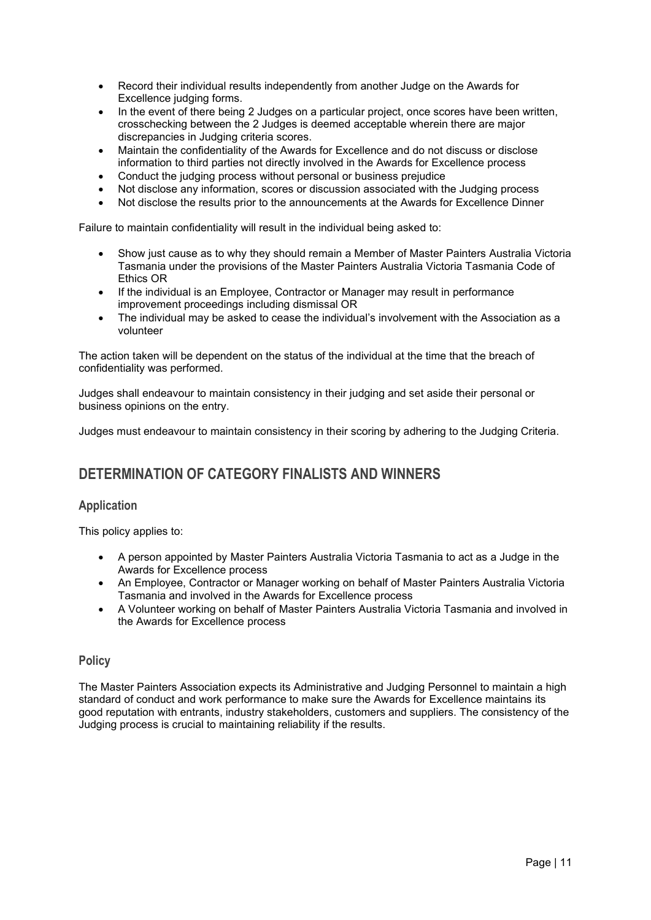- Record their individual results independently from another Judge on the Awards for Excellence judging forms.
- In the event of there being 2 Judges on a particular project, once scores have been written, crosschecking between the 2 Judges is deemed acceptable wherein there are major discrepancies in Judging criteria scores.
- Maintain the confidentiality of the Awards for Excellence and do not discuss or disclose information to third parties not directly involved in the Awards for Excellence process
- Conduct the judging process without personal or business prejudice
- Not disclose any information, scores or discussion associated with the Judging process
- Not disclose the results prior to the announcements at the Awards for Excellence Dinner

Failure to maintain confidentiality will result in the individual being asked to:

- Show just cause as to why they should remain a Member of Master Painters Australia Victoria Tasmania under the provisions of the Master Painters Australia Victoria Tasmania Code of Ethics OR
- If the individual is an Employee, Contractor or Manager may result in performance improvement proceedings including dismissal OR
- The individual may be asked to cease the individual's involvement with the Association as a volunteer

The action taken will be dependent on the status of the individual at the time that the breach of confidentiality was performed.

Judges shall endeavour to maintain consistency in their judging and set aside their personal or business opinions on the entry.

Judges must endeavour to maintain consistency in their scoring by adhering to the Judging Criteria.

## **DETERMINATION OF CATEGORY FINALISTS AND WINNERS**

#### **Application**

This policy applies to:

- A person appointed by Master Painters Australia Victoria Tasmania to act as a Judge in the Awards for Excellence process
- An Employee, Contractor or Manager working on behalf of Master Painters Australia Victoria Tasmania and involved in the Awards for Excellence process
- A Volunteer working on behalf of Master Painters Australia Victoria Tasmania and involved in the Awards for Excellence process

#### **Policy**

The Master Painters Association expects its Administrative and Judging Personnel to maintain a high standard of conduct and work performance to make sure the Awards for Excellence maintains its good reputation with entrants, industry stakeholders, customers and suppliers. The consistency of the Judging process is crucial to maintaining reliability if the results.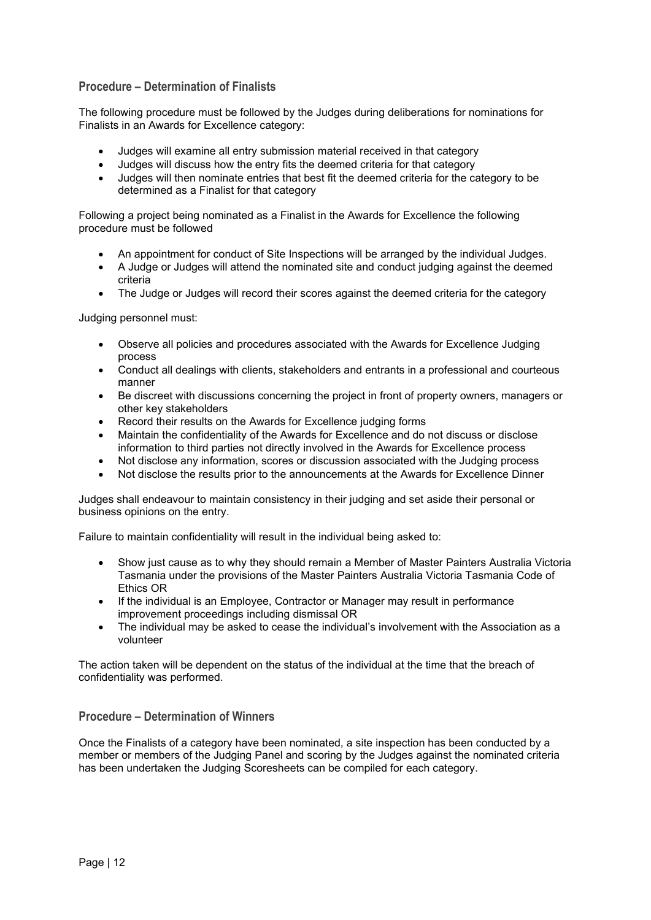#### **Procedure – Determination of Finalists**

The following procedure must be followed by the Judges during deliberations for nominations for Finalists in an Awards for Excellence category:

- Judges will examine all entry submission material received in that category
- Judges will discuss how the entry fits the deemed criteria for that category
- Judges will then nominate entries that best fit the deemed criteria for the category to be determined as a Finalist for that category

Following a project being nominated as a Finalist in the Awards for Excellence the following procedure must be followed

- An appointment for conduct of Site Inspections will be arranged by the individual Judges.
- A Judge or Judges will attend the nominated site and conduct judging against the deemed criteria
- The Judge or Judges will record their scores against the deemed criteria for the category

Judging personnel must:

- Observe all policies and procedures associated with the Awards for Excellence Judging process
- Conduct all dealings with clients, stakeholders and entrants in a professional and courteous manner
- Be discreet with discussions concerning the project in front of property owners, managers or other key stakeholders
- Record their results on the Awards for Excellence judging forms
- Maintain the confidentiality of the Awards for Excellence and do not discuss or disclose information to third parties not directly involved in the Awards for Excellence process
- Not disclose any information, scores or discussion associated with the Judging process
- Not disclose the results prior to the announcements at the Awards for Excellence Dinner

Judges shall endeavour to maintain consistency in their judging and set aside their personal or business opinions on the entry.

Failure to maintain confidentiality will result in the individual being asked to:

- Show just cause as to why they should remain a Member of Master Painters Australia Victoria Tasmania under the provisions of the Master Painters Australia Victoria Tasmania Code of Ethics OR
- If the individual is an Employee, Contractor or Manager may result in performance improvement proceedings including dismissal OR
- The individual may be asked to cease the individual's involvement with the Association as a volunteer

The action taken will be dependent on the status of the individual at the time that the breach of confidentiality was performed.

#### **Procedure – Determination of Winners**

Once the Finalists of a category have been nominated, a site inspection has been conducted by a member or members of the Judging Panel and scoring by the Judges against the nominated criteria has been undertaken the Judging Scoresheets can be compiled for each category.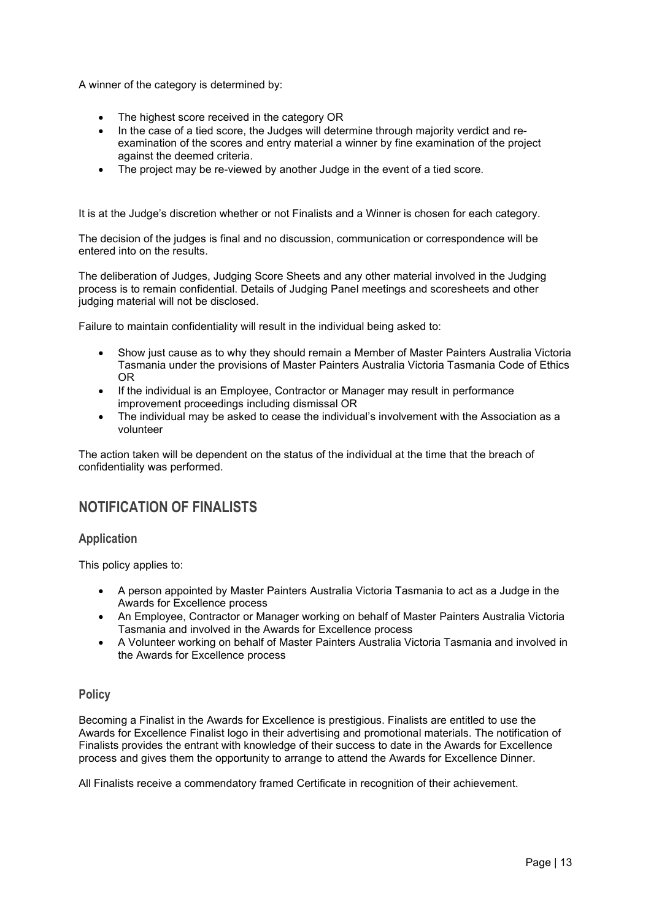A winner of the category is determined by:

- The highest score received in the category OR
- In the case of a tied score, the Judges will determine through majority verdict and reexamination of the scores and entry material a winner by fine examination of the project against the deemed criteria.
- The project may be re-viewed by another Judge in the event of a tied score.

It is at the Judge's discretion whether or not Finalists and a Winner is chosen for each category.

The decision of the judges is final and no discussion, communication or correspondence will be entered into on the results.

The deliberation of Judges, Judging Score Sheets and any other material involved in the Judging process is to remain confidential. Details of Judging Panel meetings and scoresheets and other judging material will not be disclosed.

Failure to maintain confidentiality will result in the individual being asked to:

- Show just cause as to why they should remain a Member of Master Painters Australia Victoria Tasmania under the provisions of Master Painters Australia Victoria Tasmania Code of Ethics OR
- If the individual is an Employee, Contractor or Manager may result in performance improvement proceedings including dismissal OR
- The individual may be asked to cease the individual's involvement with the Association as a volunteer

The action taken will be dependent on the status of the individual at the time that the breach of confidentiality was performed.

## **NOTIFICATION OF FINALISTS**

#### **Application**

This policy applies to:

- A person appointed by Master Painters Australia Victoria Tasmania to act as a Judge in the Awards for Excellence process
- An Employee, Contractor or Manager working on behalf of Master Painters Australia Victoria Tasmania and involved in the Awards for Excellence process
- A Volunteer working on behalf of Master Painters Australia Victoria Tasmania and involved in the Awards for Excellence process

#### **Policy**

Becoming a Finalist in the Awards for Excellence is prestigious. Finalists are entitled to use the Awards for Excellence Finalist logo in their advertising and promotional materials. The notification of Finalists provides the entrant with knowledge of their success to date in the Awards for Excellence process and gives them the opportunity to arrange to attend the Awards for Excellence Dinner.

All Finalists receive a commendatory framed Certificate in recognition of their achievement.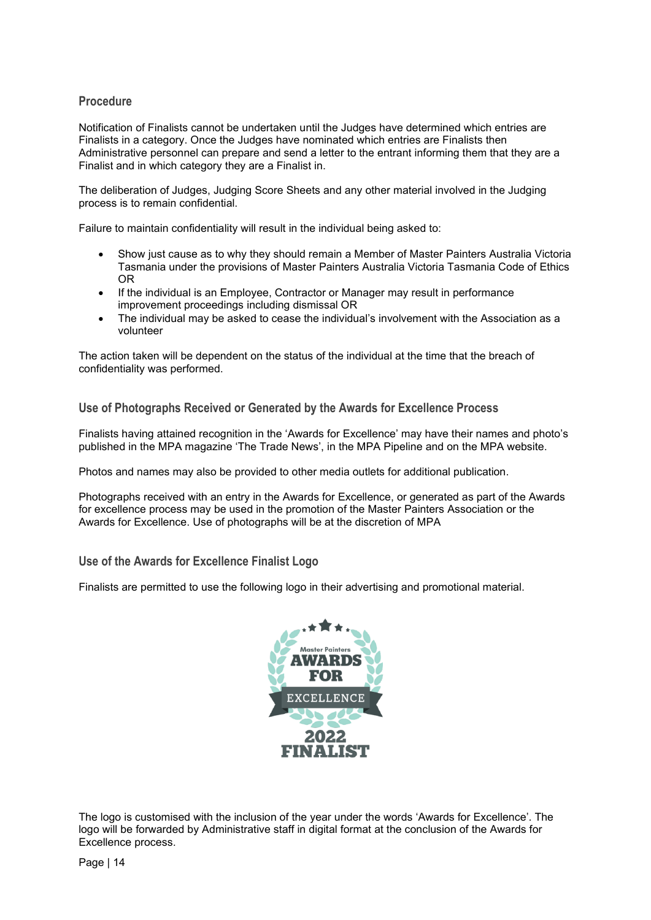#### **Procedure**

Notification of Finalists cannot be undertaken until the Judges have determined which entries are Finalists in a category. Once the Judges have nominated which entries are Finalists then Administrative personnel can prepare and send a letter to the entrant informing them that they are a Finalist and in which category they are a Finalist in.

The deliberation of Judges, Judging Score Sheets and any other material involved in the Judging process is to remain confidential.

Failure to maintain confidentiality will result in the individual being asked to:

- Show just cause as to why they should remain a Member of Master Painters Australia Victoria Tasmania under the provisions of Master Painters Australia Victoria Tasmania Code of Ethics OR
- If the individual is an Employee, Contractor or Manager may result in performance improvement proceedings including dismissal OR
- The individual may be asked to cease the individual's involvement with the Association as a volunteer

The action taken will be dependent on the status of the individual at the time that the breach of confidentiality was performed.

**Use of Photographs Received or Generated by the Awards for Excellence Process**

Finalists having attained recognition in the 'Awards for Excellence' may have their names and photo's published in the MPA magazine 'The Trade News', in the MPA Pipeline and on the MPA website.

Photos and names may also be provided to other media outlets for additional publication.

Photographs received with an entry in the Awards for Excellence, or generated as part of the Awards for excellence process may be used in the promotion of the Master Painters Association or the Awards for Excellence. Use of photographs will be at the discretion of MPA

**Use of the Awards for Excellence Finalist Logo**

Finalists are permitted to use the following logo in their advertising and promotional material.



The logo is customised with the inclusion of the year under the words 'Awards for Excellence'. The logo will be forwarded by Administrative staff in digital format at the conclusion of the Awards for Excellence process.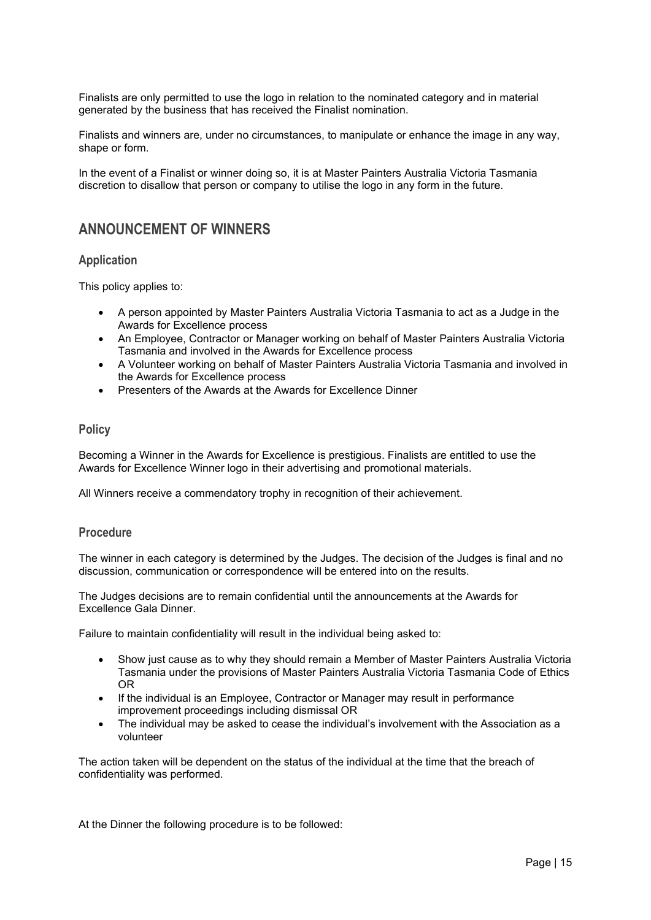Finalists are only permitted to use the logo in relation to the nominated category and in material generated by the business that has received the Finalist nomination.

Finalists and winners are, under no circumstances, to manipulate or enhance the image in any way, shape or form.

In the event of a Finalist or winner doing so, it is at Master Painters Australia Victoria Tasmania discretion to disallow that person or company to utilise the logo in any form in the future.

## **ANNOUNCEMENT OF WINNERS**

#### **Application**

This policy applies to:

- A person appointed by Master Painters Australia Victoria Tasmania to act as a Judge in the Awards for Excellence process
- An Employee, Contractor or Manager working on behalf of Master Painters Australia Victoria Tasmania and involved in the Awards for Excellence process
- A Volunteer working on behalf of Master Painters Australia Victoria Tasmania and involved in the Awards for Excellence process
- Presenters of the Awards at the Awards for Excellence Dinner

#### **Policy**

Becoming a Winner in the Awards for Excellence is prestigious. Finalists are entitled to use the Awards for Excellence Winner logo in their advertising and promotional materials.

All Winners receive a commendatory trophy in recognition of their achievement.

#### **Procedure**

The winner in each category is determined by the Judges. The decision of the Judges is final and no discussion, communication or correspondence will be entered into on the results.

The Judges decisions are to remain confidential until the announcements at the Awards for Excellence Gala Dinner.

Failure to maintain confidentiality will result in the individual being asked to:

- Show just cause as to why they should remain a Member of Master Painters Australia Victoria Tasmania under the provisions of Master Painters Australia Victoria Tasmania Code of Ethics OR
- If the individual is an Employee, Contractor or Manager may result in performance improvement proceedings including dismissal OR
- The individual may be asked to cease the individual's involvement with the Association as a volunteer

The action taken will be dependent on the status of the individual at the time that the breach of confidentiality was performed.

At the Dinner the following procedure is to be followed: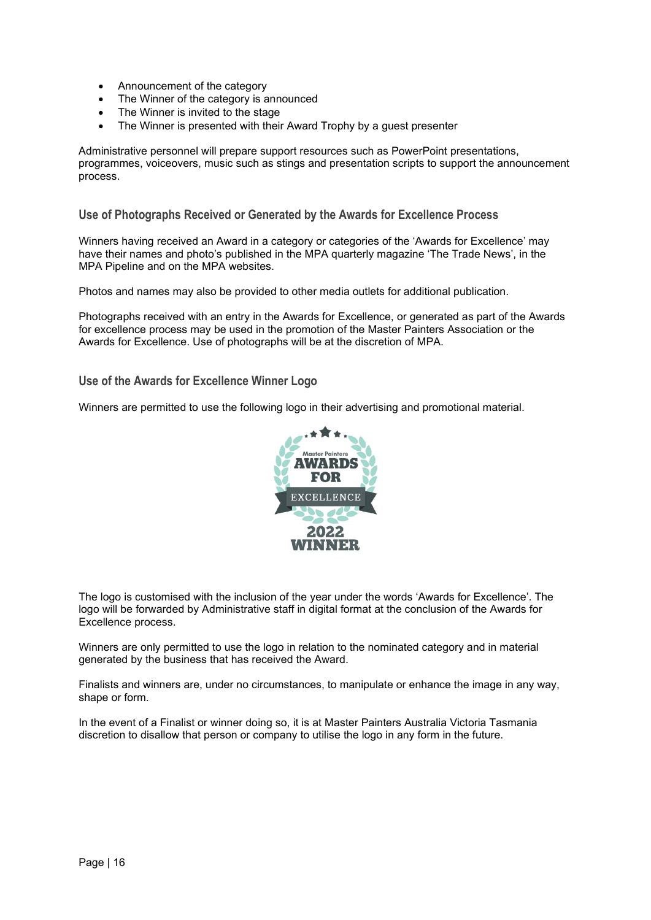- Announcement of the category
- The Winner of the category is announced
- The Winner is invited to the stage
- The Winner is presented with their Award Trophy by a quest presenter

Administrative personnel will prepare support resources such as PowerPoint presentations, programmes, voiceovers, music such as stings and presentation scripts to support the announcement process.

**Use of Photographs Received or Generated by the Awards for Excellence Process**

Winners having received an Award in a category or categories of the 'Awards for Excellence' may have their names and photo's published in the MPA quarterly magazine 'The Trade News', in the MPA Pipeline and on the MPA websites.

Photos and names may also be provided to other media outlets for additional publication.

Photographs received with an entry in the Awards for Excellence, or generated as part of the Awards for excellence process may be used in the promotion of the Master Painters Association or the Awards for Excellence. Use of photographs will be at the discretion of MPA.

#### **Use of the Awards for Excellence Winner Logo**

Winners are permitted to use the following logo in their advertising and promotional material.



The logo is customised with the inclusion of the year under the words 'Awards for Excellence'. The logo will be forwarded by Administrative staff in digital format at the conclusion of the Awards for Excellence process.

Winners are only permitted to use the logo in relation to the nominated category and in material generated by the business that has received the Award.

Finalists and winners are, under no circumstances, to manipulate or enhance the image in any way, shape or form.

In the event of a Finalist or winner doing so, it is at Master Painters Australia Victoria Tasmania discretion to disallow that person or company to utilise the logo in any form in the future.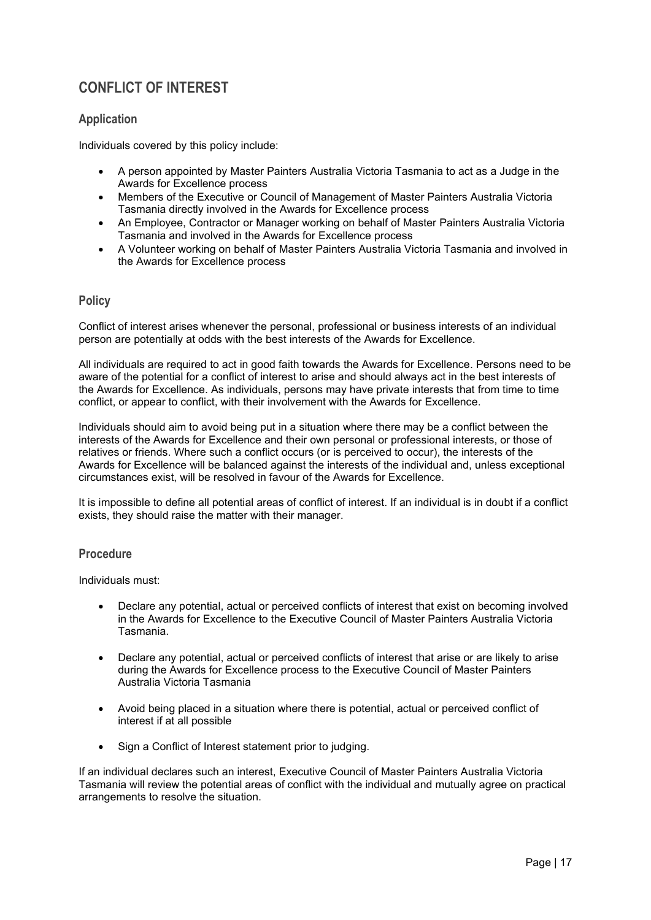## **CONFLICT OF INTEREST**

#### **Application**

Individuals covered by this policy include:

- A person appointed by Master Painters Australia Victoria Tasmania to act as a Judge in the Awards for Excellence process
- Members of the Executive or Council of Management of Master Painters Australia Victoria Tasmania directly involved in the Awards for Excellence process
- An Employee, Contractor or Manager working on behalf of Master Painters Australia Victoria Tasmania and involved in the Awards for Excellence process
- A Volunteer working on behalf of Master Painters Australia Victoria Tasmania and involved in the Awards for Excellence process

#### **Policy**

Conflict of interest arises whenever the personal, professional or business interests of an individual person are potentially at odds with the best interests of the Awards for Excellence.

All individuals are required to act in good faith towards the Awards for Excellence. Persons need to be aware of the potential for a conflict of interest to arise and should always act in the best interests of the Awards for Excellence. As individuals, persons may have private interests that from time to time conflict, or appear to conflict, with their involvement with the Awards for Excellence.

Individuals should aim to avoid being put in a situation where there may be a conflict between the interests of the Awards for Excellence and their own personal or professional interests, or those of relatives or friends. Where such a conflict occurs (or is perceived to occur), the interests of the Awards for Excellence will be balanced against the interests of the individual and, unless exceptional circumstances exist, will be resolved in favour of the Awards for Excellence.

It is impossible to define all potential areas of conflict of interest. If an individual is in doubt if a conflict exists, they should raise the matter with their manager.

#### **Procedure**

Individuals must:

- Declare any potential, actual or perceived conflicts of interest that exist on becoming involved in the Awards for Excellence to the Executive Council of Master Painters Australia Victoria Tasmania.
- Declare any potential, actual or perceived conflicts of interest that arise or are likely to arise during the Awards for Excellence process to the Executive Council of Master Painters Australia Victoria Tasmania
- Avoid being placed in a situation where there is potential, actual or perceived conflict of interest if at all possible
- Sign a Conflict of Interest statement prior to judging.

If an individual declares such an interest, Executive Council of Master Painters Australia Victoria Tasmania will review the potential areas of conflict with the individual and mutually agree on practical arrangements to resolve the situation.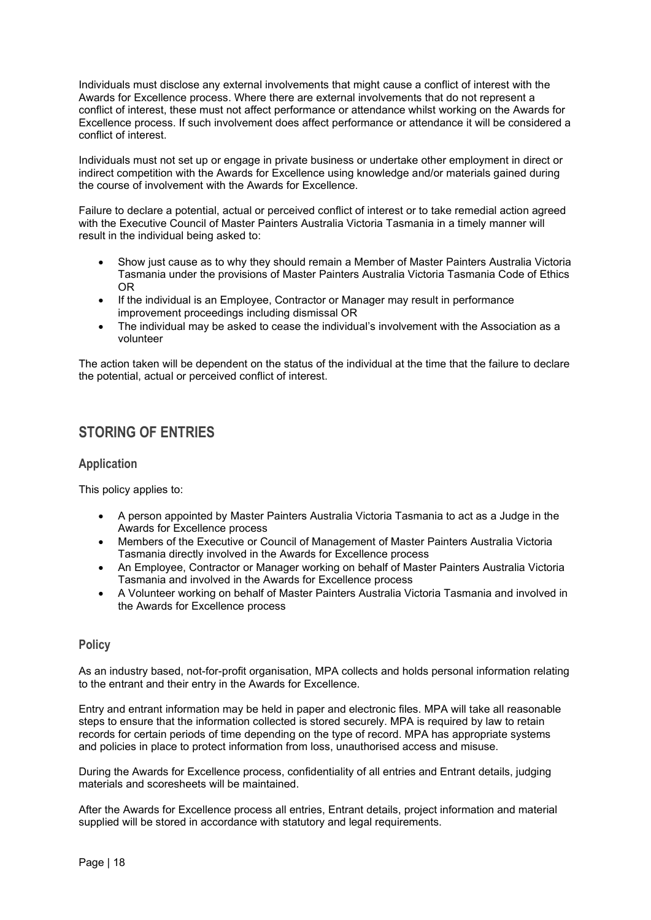Individuals must disclose any external involvements that might cause a conflict of interest with the Awards for Excellence process. Where there are external involvements that do not represent a conflict of interest, these must not affect performance or attendance whilst working on the Awards for Excellence process. If such involvement does affect performance or attendance it will be considered a conflict of interest.

Individuals must not set up or engage in private business or undertake other employment in direct or indirect competition with the Awards for Excellence using knowledge and/or materials gained during the course of involvement with the Awards for Excellence.

Failure to declare a potential, actual or perceived conflict of interest or to take remedial action agreed with the Executive Council of Master Painters Australia Victoria Tasmania in a timely manner will result in the individual being asked to:

- Show just cause as to why they should remain a Member of Master Painters Australia Victoria Tasmania under the provisions of Master Painters Australia Victoria Tasmania Code of Ethics OR
- If the individual is an Employee, Contractor or Manager may result in performance improvement proceedings including dismissal OR
- The individual may be asked to cease the individual's involvement with the Association as a volunteer

The action taken will be dependent on the status of the individual at the time that the failure to declare the potential, actual or perceived conflict of interest.

## **STORING OF ENTRIES**

#### **Application**

This policy applies to:

- A person appointed by Master Painters Australia Victoria Tasmania to act as a Judge in the Awards for Excellence process
- Members of the Executive or Council of Management of Master Painters Australia Victoria Tasmania directly involved in the Awards for Excellence process
- An Employee, Contractor or Manager working on behalf of Master Painters Australia Victoria Tasmania and involved in the Awards for Excellence process
- A Volunteer working on behalf of Master Painters Australia Victoria Tasmania and involved in the Awards for Excellence process

#### **Policy**

As an industry based, not-for-profit organisation, MPA collects and holds personal information relating to the entrant and their entry in the Awards for Excellence.

Entry and entrant information may be held in paper and electronic files. MPA will take all reasonable steps to ensure that the information collected is stored securely. MPA is required by law to retain records for certain periods of time depending on the type of record. MPA has appropriate systems and policies in place to protect information from loss, unauthorised access and misuse.

During the Awards for Excellence process, confidentiality of all entries and Entrant details, judging materials and scoresheets will be maintained.

After the Awards for Excellence process all entries, Entrant details, project information and material supplied will be stored in accordance with statutory and legal requirements.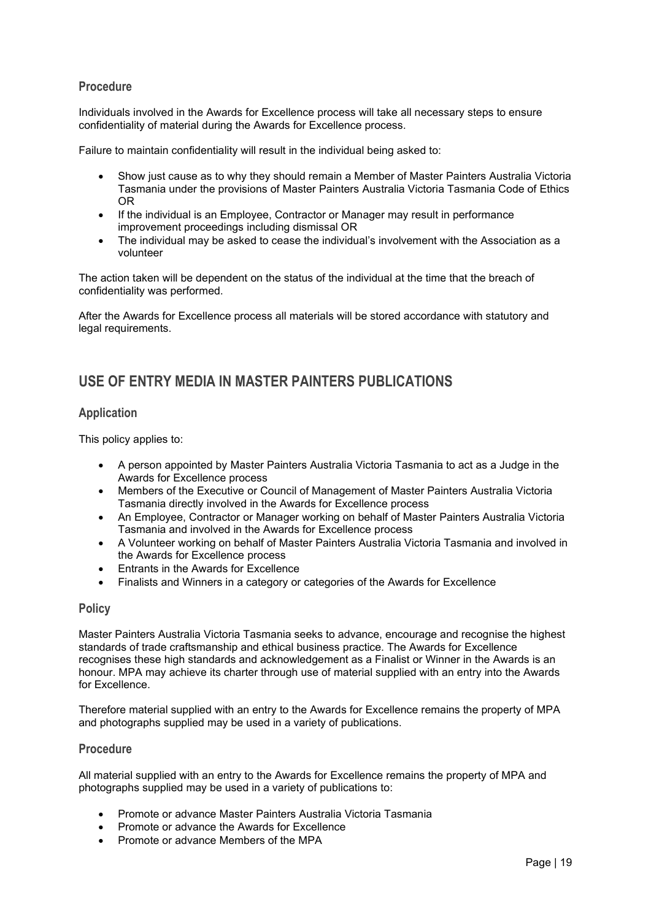#### **Procedure**

Individuals involved in the Awards for Excellence process will take all necessary steps to ensure confidentiality of material during the Awards for Excellence process.

Failure to maintain confidentiality will result in the individual being asked to:

- Show just cause as to why they should remain a Member of Master Painters Australia Victoria Tasmania under the provisions of Master Painters Australia Victoria Tasmania Code of Ethics OR
- If the individual is an Employee, Contractor or Manager may result in performance improvement proceedings including dismissal OR
- The individual may be asked to cease the individual's involvement with the Association as a volunteer

The action taken will be dependent on the status of the individual at the time that the breach of confidentiality was performed.

After the Awards for Excellence process all materials will be stored accordance with statutory and legal requirements.

## **USE OF ENTRY MEDIA IN MASTER PAINTERS PUBLICATIONS**

#### **Application**

This policy applies to:

- A person appointed by Master Painters Australia Victoria Tasmania to act as a Judge in the Awards for Excellence process
- Members of the Executive or Council of Management of Master Painters Australia Victoria Tasmania directly involved in the Awards for Excellence process
- An Employee, Contractor or Manager working on behalf of Master Painters Australia Victoria Tasmania and involved in the Awards for Excellence process
- A Volunteer working on behalf of Master Painters Australia Victoria Tasmania and involved in the Awards for Excellence process
- Entrants in the Awards for Excellence
- Finalists and Winners in a category or categories of the Awards for Excellence

#### **Policy**

Master Painters Australia Victoria Tasmania seeks to advance, encourage and recognise the highest standards of trade craftsmanship and ethical business practice. The Awards for Excellence recognises these high standards and acknowledgement as a Finalist or Winner in the Awards is an honour. MPA may achieve its charter through use of material supplied with an entry into the Awards for Excellence.

Therefore material supplied with an entry to the Awards for Excellence remains the property of MPA and photographs supplied may be used in a variety of publications.

#### **Procedure**

All material supplied with an entry to the Awards for Excellence remains the property of MPA and photographs supplied may be used in a variety of publications to:

- Promote or advance Master Painters Australia Victoria Tasmania
- Promote or advance the Awards for Excellence
- Promote or advance Members of the MPA